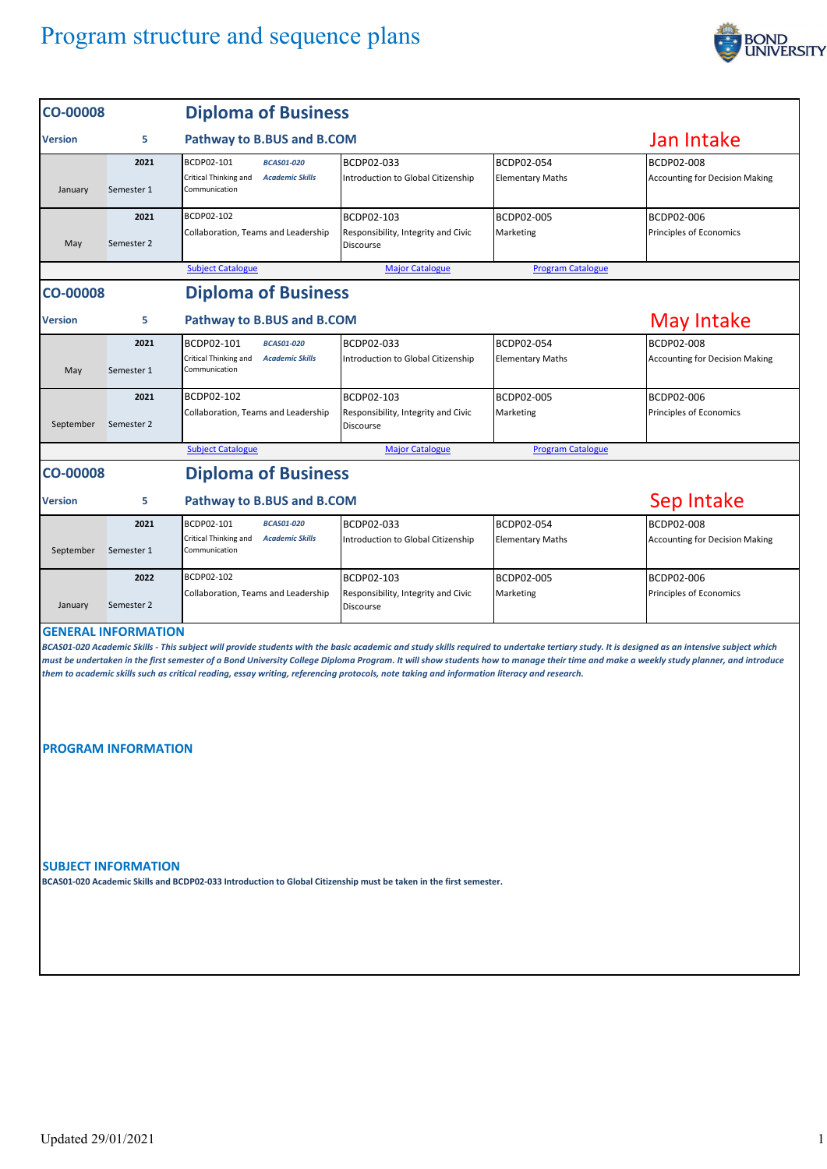

| <b>CO-00008</b> |                                                          | <b>Diploma of Business</b>                                                                                                                 |                                                                       |                                       |                                                                                                                                                                                                                                                                                                                                                                                     |  |  |
|-----------------|----------------------------------------------------------|--------------------------------------------------------------------------------------------------------------------------------------------|-----------------------------------------------------------------------|---------------------------------------|-------------------------------------------------------------------------------------------------------------------------------------------------------------------------------------------------------------------------------------------------------------------------------------------------------------------------------------------------------------------------------------|--|--|
| Version         | 5                                                        | Pathway to B.BUS and B.COM                                                                                                                 |                                                                       |                                       | Jan Intake                                                                                                                                                                                                                                                                                                                                                                          |  |  |
| January         | 2021<br>Semester 1                                       | BCDP02-101<br><b>BCAS01-020</b><br>Critical Thinking and<br><b>Academic Skills</b><br>Communication                                        | BCDP02-033<br>Introduction to Global Citizenship                      | BCDP02-054<br><b>Elementary Maths</b> | <b>BCDP02-008</b><br><b>Accounting for Decision Making</b>                                                                                                                                                                                                                                                                                                                          |  |  |
| May             | 2021<br>Semester 2                                       | BCDP02-102<br>Collaboration, Teams and Leadership                                                                                          | BCDP02-103<br>Responsibility, Integrity and Civic<br><b>Discourse</b> | BCDP02-005<br>Marketing               | BCDP02-006<br>Principles of Economics                                                                                                                                                                                                                                                                                                                                               |  |  |
|                 |                                                          | <b>Subject Catalogue</b>                                                                                                                   | <b>Major Catalogue</b>                                                | <b>Program Catalogue</b>              |                                                                                                                                                                                                                                                                                                                                                                                     |  |  |
| <b>CO-00008</b> |                                                          | <b>Diploma of Business</b>                                                                                                                 |                                                                       |                                       |                                                                                                                                                                                                                                                                                                                                                                                     |  |  |
| Version         | 5                                                        | Pathway to B.BUS and B.COM                                                                                                                 | May Intake                                                            |                                       |                                                                                                                                                                                                                                                                                                                                                                                     |  |  |
| May             | 2021<br>Semester 1                                       | BCDP02-101<br><b>BCAS01-020</b><br>Critical Thinking and<br><b>Academic Skills</b><br>Communication                                        | BCDP02-033<br>Introduction to Global Citizenship                      | BCDP02-054<br><b>Elementary Maths</b> | <b>BCDP02-008</b><br><b>Accounting for Decision Making</b>                                                                                                                                                                                                                                                                                                                          |  |  |
| September       | 2021<br>Semester 2                                       | BCDP02-102<br>Collaboration, Teams and Leadership                                                                                          | BCDP02-103<br>Responsibility, Integrity and Civic<br><b>Discourse</b> | BCDP02-005<br>Marketing               | BCDP02-006<br>Principles of Economics                                                                                                                                                                                                                                                                                                                                               |  |  |
|                 |                                                          | <b>Subject Catalogue</b>                                                                                                                   | <b>Major Catalogue</b>                                                | <b>Program Catalogue</b>              |                                                                                                                                                                                                                                                                                                                                                                                     |  |  |
| <b>CO-00008</b> |                                                          | <b>Diploma of Business</b>                                                                                                                 |                                                                       |                                       |                                                                                                                                                                                                                                                                                                                                                                                     |  |  |
| Version         | 5                                                        | <b>Pathway to B.BUS and B.COM</b>                                                                                                          | Sep Intake                                                            |                                       |                                                                                                                                                                                                                                                                                                                                                                                     |  |  |
| September       | 2021<br>Semester 1                                       | BCDP02-101<br><b>BCAS01-020</b><br>Critical Thinking and<br><b>Academic Skills</b><br>Communication                                        | BCDP02-033<br>Introduction to Global Citizenship                      | BCDP02-054<br><b>Elementary Maths</b> | <b>BCDP02-008</b><br><b>Accounting for Decision Making</b>                                                                                                                                                                                                                                                                                                                          |  |  |
| January         | 2022<br>Semester 2                                       | BCDP02-102<br>Collaboration, Teams and Leadership                                                                                          | BCDP02-103<br>Responsibility, Integrity and Civic<br>Discourse        | BCDP02-005<br>Marketing               | BCDP02-006<br>Principles of Economics                                                                                                                                                                                                                                                                                                                                               |  |  |
|                 | <b>GENERAL INFORMATION</b><br><b>PROGRAM INFORMATION</b> | them to academic skills such as critical reading, essay writing, referencing protocols, note taking and information literacy and research. |                                                                       |                                       | BCAS01-020 Academic Skills - This subject will provide students with the basic academic and study skills required to undertake tertiary study. It is designed as an intensive subject which<br>must be undertaken in the first semester of a Bond University College Diploma Program. It will show students how to manage their time and make a weekly study planner, and introduce |  |  |
|                 | <b>SUBJECT INFORMATION</b>                               | BCAS01-020 Academic Skills and BCDP02-033 Introduction to Global Citizenship must be taken in the first semester.                          |                                                                       |                                       |                                                                                                                                                                                                                                                                                                                                                                                     |  |  |